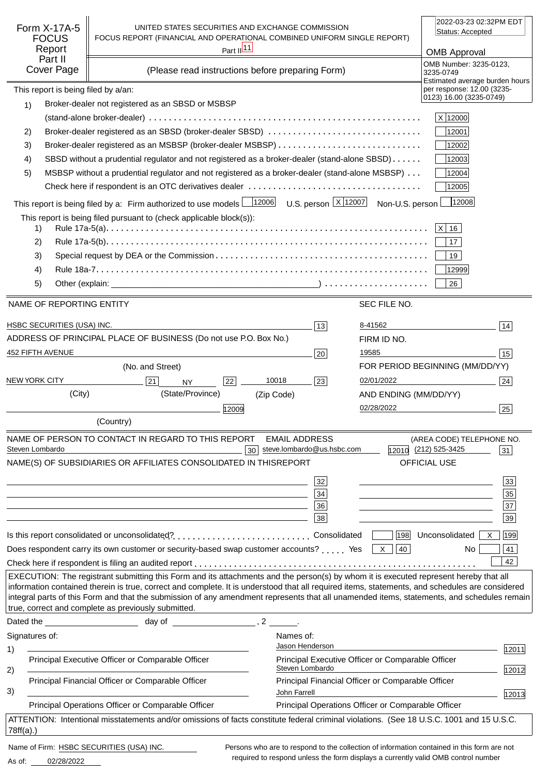| Form X-17A-5<br><b>FOCUS</b><br>Report<br>Part II<br><b>Cover Page</b> | UNITED STATES SECURITIES AND EXCHANGE COMMISSION<br>FOCUS REPORT (FINANCIAL AND OPERATIONAL COMBINED UNIFORM SINGLE REPORT)<br>Part $\frac{ 11 }{2}$<br>(Please read instructions before preparing Form)                                                                                                                                             |             |                                                    | 2022-03-23 02:32PM EDT<br>Status: Accepted<br><b>OMB Approval</b><br>OMB Number: 3235-0123, |                                                                                            |  |
|------------------------------------------------------------------------|------------------------------------------------------------------------------------------------------------------------------------------------------------------------------------------------------------------------------------------------------------------------------------------------------------------------------------------------------|-------------|----------------------------------------------------|---------------------------------------------------------------------------------------------|--------------------------------------------------------------------------------------------|--|
|                                                                        |                                                                                                                                                                                                                                                                                                                                                      |             |                                                    |                                                                                             | 3235-0749<br>Estimated average burden hours                                                |  |
| This report is being filed by a/an:                                    | Broker-dealer not registered as an SBSD or MSBSP                                                                                                                                                                                                                                                                                                     |             |                                                    |                                                                                             | per response: 12.00 (3235-<br>0123) 16.00 (3235-0749)                                      |  |
| 1)                                                                     |                                                                                                                                                                                                                                                                                                                                                      |             |                                                    |                                                                                             | X 12000                                                                                    |  |
| 2)                                                                     | Broker-dealer registered as an SBSD (broker-dealer SBSD)                                                                                                                                                                                                                                                                                             |             |                                                    |                                                                                             | 12001                                                                                      |  |
| 3)                                                                     |                                                                                                                                                                                                                                                                                                                                                      |             |                                                    |                                                                                             | 12002                                                                                      |  |
| 4)                                                                     | SBSD without a prudential regulator and not registered as a broker-dealer (stand-alone SBSD)                                                                                                                                                                                                                                                         |             |                                                    |                                                                                             | 12003                                                                                      |  |
| 5)                                                                     |                                                                                                                                                                                                                                                                                                                                                      |             |                                                    |                                                                                             | 12004                                                                                      |  |
|                                                                        | MSBSP without a prudential regulator and not registered as a broker-dealer (stand-alone MSBSP)<br>12005                                                                                                                                                                                                                                              |             |                                                    |                                                                                             |                                                                                            |  |
|                                                                        | This report is being filed by a: Firm authorized to use models $\frac{12006}{12006}$ U.S. person $\frac{X}{12007}$ Non-U.S. person                                                                                                                                                                                                                   |             |                                                    |                                                                                             | 12008                                                                                      |  |
|                                                                        | This report is being filed pursuant to (check applicable block(s)):                                                                                                                                                                                                                                                                                  |             |                                                    |                                                                                             |                                                                                            |  |
| 1)                                                                     |                                                                                                                                                                                                                                                                                                                                                      |             |                                                    |                                                                                             | $ X $ 16                                                                                   |  |
| 2)                                                                     |                                                                                                                                                                                                                                                                                                                                                      |             |                                                    |                                                                                             | 17 <sup>°</sup>                                                                            |  |
| 3)                                                                     |                                                                                                                                                                                                                                                                                                                                                      |             |                                                    |                                                                                             | 19                                                                                         |  |
| 4)                                                                     |                                                                                                                                                                                                                                                                                                                                                      |             |                                                    |                                                                                             | 12999                                                                                      |  |
| 5)                                                                     |                                                                                                                                                                                                                                                                                                                                                      |             |                                                    |                                                                                             | 26                                                                                         |  |
| NAME OF REPORTING ENTITY                                               |                                                                                                                                                                                                                                                                                                                                                      |             |                                                    | SEC FILE NO.                                                                                |                                                                                            |  |
|                                                                        |                                                                                                                                                                                                                                                                                                                                                      |             |                                                    |                                                                                             |                                                                                            |  |
| HSBC SECURITIES (USA) INC.                                             |                                                                                                                                                                                                                                                                                                                                                      |             | 13                                                 | 8-41562                                                                                     | 14                                                                                         |  |
|                                                                        | ADDRESS OF PRINCIPAL PLACE OF BUSINESS (Do not use P.O. Box No.)                                                                                                                                                                                                                                                                                     |             |                                                    | FIRM ID NO.                                                                                 |                                                                                            |  |
| 452 FIFTH AVENUE                                                       |                                                                                                                                                                                                                                                                                                                                                      |             | 20                                                 | 19585                                                                                       | 15                                                                                         |  |
|                                                                        | (No. and Street)                                                                                                                                                                                                                                                                                                                                     |             |                                                    |                                                                                             | FOR PERIOD BEGINNING (MM/DD/YY)                                                            |  |
| <b>NEW YORK CITY</b>                                                   | 21<br><b>NY</b>                                                                                                                                                                                                                                                                                                                                      | 10018<br>22 | 23                                                 | 02/01/2022                                                                                  | 24                                                                                         |  |
| (City)                                                                 | (State/Province)                                                                                                                                                                                                                                                                                                                                     | (Zip Code)  |                                                    | AND ENDING (MM/DD/YY)                                                                       |                                                                                            |  |
|                                                                        |                                                                                                                                                                                                                                                                                                                                                      | 12009       |                                                    | 02/28/2022                                                                                  | 25                                                                                         |  |
|                                                                        | (Country)                                                                                                                                                                                                                                                                                                                                            |             |                                                    |                                                                                             |                                                                                            |  |
| Steven Lombardo                                                        | NAME OF PERSON TO CONTACT IN REGARD TO THIS REPORT                                                                                                                                                                                                                                                                                                   | 30          | <b>EMAIL ADDRESS</b><br>steve.lombardo@us.hsbc.com |                                                                                             | (AREA CODE) TELEPHONE NO.<br>12010 (212) 525-3425<br>31                                    |  |
|                                                                        | NAME(S) OF SUBSIDIARIES OR AFFILIATES CONSOLIDATED IN THIS                                                                                                                                                                                                                                                                                           |             | <b>REPORT</b>                                      |                                                                                             | OFFICIAL USE                                                                               |  |
|                                                                        |                                                                                                                                                                                                                                                                                                                                                      |             |                                                    |                                                                                             |                                                                                            |  |
|                                                                        |                                                                                                                                                                                                                                                                                                                                                      |             | 32                                                 |                                                                                             | 33<br>35                                                                                   |  |
|                                                                        | the control of the control of the control of the control of the control of the control of                                                                                                                                                                                                                                                            |             | 34<br>36                                           |                                                                                             | 37                                                                                         |  |
|                                                                        |                                                                                                                                                                                                                                                                                                                                                      |             | 38                                                 |                                                                                             | 39                                                                                         |  |
|                                                                        | Is this report consolidated or unconsolidated?Consolidated                                                                                                                                                                                                                                                                                           |             |                                                    |                                                                                             | 199 <br>$ 198 $ Unconsolidated $ X $                                                       |  |
|                                                                        | Does respondent carry its own customer or security-based swap customer accounts?  Yes $\boxed{\times}$                                                                                                                                                                                                                                               |             |                                                    | 40                                                                                          | 41<br>No.                                                                                  |  |
|                                                                        |                                                                                                                                                                                                                                                                                                                                                      |             |                                                    |                                                                                             | 42                                                                                         |  |
|                                                                        | EXECUTION: The registrant submitting this Form and its attachments and the person(s) by whom it is executed represent hereby that all                                                                                                                                                                                                                |             |                                                    |                                                                                             |                                                                                            |  |
|                                                                        | information contained therein is true, correct and complete. It is understood that all required items, statements, and schedules are considered<br>integral parts of this Form and that the submission of any amendment represents that all unamended items, statements, and schedules remain<br>true, correct and complete as previously submitted. |             |                                                    |                                                                                             |                                                                                            |  |
|                                                                        | Dated the day of the state of the state of the state of the state of the state of the state of the state of the state of the state of the state of the state of the state of the state of the state of the state of the state                                                                                                                        |             |                                                    |                                                                                             |                                                                                            |  |
| Signatures of:                                                         |                                                                                                                                                                                                                                                                                                                                                      |             | Names of:                                          |                                                                                             |                                                                                            |  |
| 1)                                                                     |                                                                                                                                                                                                                                                                                                                                                      |             | Jason Henderson                                    |                                                                                             | 12011                                                                                      |  |
|                                                                        | Principal Executive Officer or Comparable Officer                                                                                                                                                                                                                                                                                                    |             | Steven Lombardo                                    | Principal Executive Officer or Comparable Officer                                           |                                                                                            |  |
| 2)                                                                     | Principal Financial Officer or Comparable Officer                                                                                                                                                                                                                                                                                                    |             |                                                    | Principal Financial Officer or Comparable Officer                                           | 12012                                                                                      |  |
| 3)                                                                     |                                                                                                                                                                                                                                                                                                                                                      |             | John Farrell                                       |                                                                                             | 12013                                                                                      |  |
|                                                                        | Principal Operations Officer or Comparable Officer                                                                                                                                                                                                                                                                                                   |             |                                                    | Principal Operations Officer or Comparable Officer                                          |                                                                                            |  |
| $78ff(a)$ .)                                                           | ATTENTION: Intentional misstatements and/or omissions of facts constitute federal criminal violations. (See 18 U.S.C. 1001 and 15 U.S.C.                                                                                                                                                                                                             |             |                                                    |                                                                                             |                                                                                            |  |
| Name of Firm: HSBC SECURITIES (USA) INC.                               |                                                                                                                                                                                                                                                                                                                                                      |             |                                                    |                                                                                             | Persons who are to respond to the collection of information contained in this form are not |  |

02/28/2022 As of:

required to respond unless the form displays a currently valid OMB control number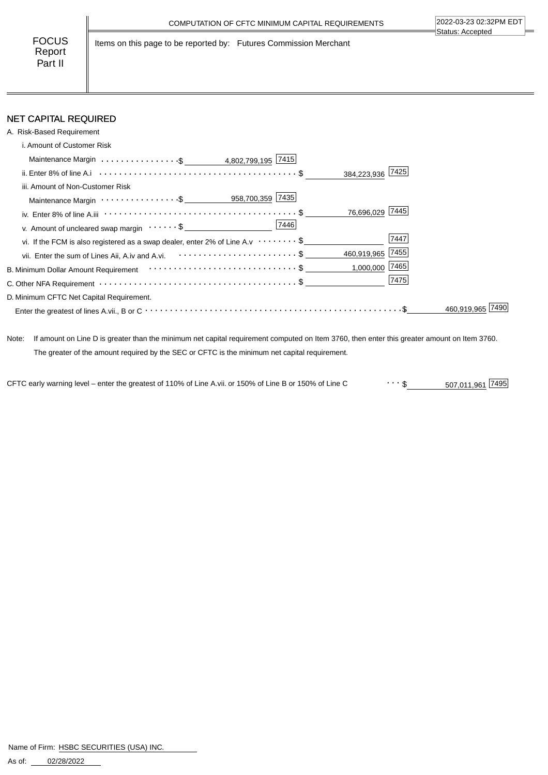FOCUS Report Part II

Items on this page to be reported by: Futures Commission Merchant

# NET CAPITAL REQUIRED

| A. Risk-Based Requirement                                                                                                                     |                  |
|-----------------------------------------------------------------------------------------------------------------------------------------------|------------------|
| i. Amount of Customer Risk                                                                                                                    |                  |
| Maintenance Margin \$ 4,802,799,195 7415                                                                                                      |                  |
| ii. Enter 8% of line A.i $\cdots$ $\cdots$ $\cdots$ $\cdots$ $\cdots$ $\cdots$ $\cdots$ $\cdots$ $\cdots$ $\cdots$ $\cdots$ $\cdots$ $\cdots$ | 384,223,936 7425 |
| iii. Amount of Non-Customer Risk                                                                                                              |                  |
| Maintenance Margin ·················\$ ___________958,700,359 7435                                                                            |                  |
| iv. Enter 8% of line A.iii $\cdots \cdots \cdots \cdots \cdots \cdots \cdots \cdots \cdots \cdots \cdots \cdots \cdots$                       | 76,696,029 7445  |
| v. Amount of uncleared swap margin $\cdots \cdots$ \$                                                                                         |                  |
| vi. If the FCM is also registered as a swap dealer, enter 2% of Line A.v $\cdots \cdots \cdot$ \$                                             | 7447             |
| vii. Enter the sum of Lines Aii, A.iv and A.vi. <b>Confirmation</b> of the sum of Lines Aii, A.iv and A.vi.                                   | 460,919,965 7455 |
| B. Minimum Dollar Amount Requirement $\cdots\cdots\cdots\cdots\cdots\cdots\cdots\cdots\cdots\cdots\cdots$                                     | 1,000,000 7465   |
| C. Other NFA Requirement $\cdots$ $\cdots$ $\cdots$ $\cdots$ $\cdots$ $\cdots$ $\cdots$ $\cdots$ $\cdots$ $\cdots$ $\cdots$ $\cdots$          | 7475             |
| D. Minimum CFTC Net Capital Requirement.                                                                                                      |                  |
|                                                                                                                                               | 460.919.965      |

Note: If amount on Line D is greater than the minimum net capital requirement computed on Item 3760, then enter this greater amount on Item 3760. The greater of the amount required by the SEC or CFTC is the minimum net capital requirement.

507,011,961 \$ CFTC early warning level – enter the greatest of 110% of Line A.vii. or 150% of Line B or 150% of Line C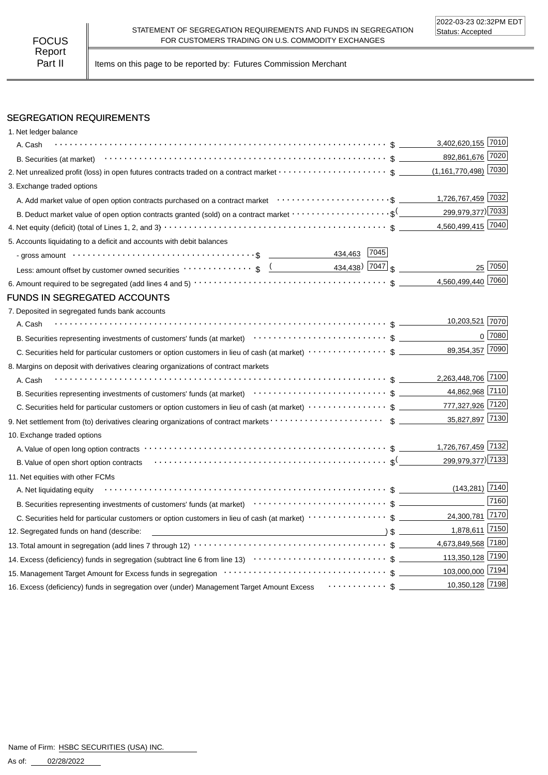Part II | Items on this page to be reported by: Futures Commission Merchant

## SEGREGATION REQUIREMENTS

| 1. Net ledger balance                                                                                                                                                                                                                                                                                                                                                                                                                                                                                                      |                        |          |
|----------------------------------------------------------------------------------------------------------------------------------------------------------------------------------------------------------------------------------------------------------------------------------------------------------------------------------------------------------------------------------------------------------------------------------------------------------------------------------------------------------------------------|------------------------|----------|
| A. Cash                                                                                                                                                                                                                                                                                                                                                                                                                                                                                                                    | 3,402,620,155 7010     |          |
| B. Securities (at market) $\cdots$ $\cdots$ $\cdots$ $\cdots$ $\cdots$ $\cdots$ $\cdots$ $\cdots$ $\cdots$ $\cdots$ $\cdots$ $\cdots$ $\cdots$ $\cdots$ $\cdots$ $\cdots$                                                                                                                                                                                                                                                                                                                                                  | 892,861,676 7020       |          |
| 2. Net unrealized profit (loss) in open futures contracts traded on a contract market \$                                                                                                                                                                                                                                                                                                                                                                                                                                   | $(1,161,770,498)$ 7030 |          |
| 3. Exchange traded options                                                                                                                                                                                                                                                                                                                                                                                                                                                                                                 |                        |          |
|                                                                                                                                                                                                                                                                                                                                                                                                                                                                                                                            | 1,726,767,459 7032     |          |
| B. Deduct market value of open option contracts granted (sold) on a contract market $\cdots\cdots\cdots\cdots\cdots\cdots$ \$ (_________                                                                                                                                                                                                                                                                                                                                                                                   | 299,979,377) 7033      |          |
|                                                                                                                                                                                                                                                                                                                                                                                                                                                                                                                            | 4,560,499,415 7040     |          |
| 5. Accounts liquidating to a deficit and accounts with debit balances                                                                                                                                                                                                                                                                                                                                                                                                                                                      |                        |          |
| 434,463 7045                                                                                                                                                                                                                                                                                                                                                                                                                                                                                                               |                        |          |
| Less: amount offset by customer owned securities $\cdots \cdots \cdots$ \$ $\underbrace{(2, 434, 438)}$ $\boxed{7047}$ \$                                                                                                                                                                                                                                                                                                                                                                                                  |                        | 25 7050  |
|                                                                                                                                                                                                                                                                                                                                                                                                                                                                                                                            | 4,560,499,440 7060     |          |
| <b>FUNDS IN SEGREGATED ACCOUNTS</b>                                                                                                                                                                                                                                                                                                                                                                                                                                                                                        |                        |          |
| 7. Deposited in segregated funds bank accounts                                                                                                                                                                                                                                                                                                                                                                                                                                                                             |                        |          |
| A. Cash                                                                                                                                                                                                                                                                                                                                                                                                                                                                                                                    | 10,203,521 7070        |          |
| B. Securities representing investments of customers' funds (at market) contract contract contract to the contract of customers' funds (at market) contract contract of the contract of the contract of the contract of the con                                                                                                                                                                                                                                                                                             |                        | $0$ 7080 |
|                                                                                                                                                                                                                                                                                                                                                                                                                                                                                                                            | 89,354,357 7090        |          |
| 8. Margins on deposit with derivatives clearing organizations of contract markets                                                                                                                                                                                                                                                                                                                                                                                                                                          |                        |          |
| A. Cash                                                                                                                                                                                                                                                                                                                                                                                                                                                                                                                    | 2,263,448,706 7100     |          |
| B. Securities representing investments of customers' funds (at market) contracts to contract the securities representing investments of customers' funds (at market) contracts of the securities representing in the securitie                                                                                                                                                                                                                                                                                             | 44,862,968 7110        |          |
|                                                                                                                                                                                                                                                                                                                                                                                                                                                                                                                            |                        |          |
|                                                                                                                                                                                                                                                                                                                                                                                                                                                                                                                            | 35,827,897 7130        |          |
| 10. Exchange traded options                                                                                                                                                                                                                                                                                                                                                                                                                                                                                                |                        |          |
|                                                                                                                                                                                                                                                                                                                                                                                                                                                                                                                            | 1,726,767,459 7132     |          |
|                                                                                                                                                                                                                                                                                                                                                                                                                                                                                                                            | 299,979,377) 7133      |          |
| 11. Net equities with other FCMs                                                                                                                                                                                                                                                                                                                                                                                                                                                                                           |                        |          |
| A. Net liquidating equity                                                                                                                                                                                                                                                                                                                                                                                                                                                                                                  | $(143, 281)$ 7140      |          |
|                                                                                                                                                                                                                                                                                                                                                                                                                                                                                                                            |                        | 7160     |
| C. Securities held for particular customers or option customers in lieu of cash (at market) $\cdots\cdots\cdots\cdots\cdots$ \$                                                                                                                                                                                                                                                                                                                                                                                            | 24,300,781 7170        |          |
| $\overline{\phantom{a}}$ $\overline{\phantom{a}}$ $\overline{\phantom{a}}$ $\overline{\phantom{a}}$ $\overline{\phantom{a}}$ $\overline{\phantom{a}}$ $\overline{\phantom{a}}$ $\overline{\phantom{a}}$ $\overline{\phantom{a}}$ $\overline{\phantom{a}}$ $\overline{\phantom{a}}$ $\overline{\phantom{a}}$ $\overline{\phantom{a}}$ $\overline{\phantom{a}}$ $\overline{\phantom{a}}$ $\overline{\phantom{a}}$ $\overline{\phantom{a}}$ $\overline{\phantom{a}}$ $\overline{\$<br>12. Segregated funds on hand (describe: | 1,878,611 7150         |          |
|                                                                                                                                                                                                                                                                                                                                                                                                                                                                                                                            | 4,673,849,568 7180     |          |
|                                                                                                                                                                                                                                                                                                                                                                                                                                                                                                                            | 113,350,128 7190       |          |
|                                                                                                                                                                                                                                                                                                                                                                                                                                                                                                                            | 103,000,000 7194       |          |
| 16. Excess (deficiency) funds in segregation over (under) Management Target Amount Excess $\cdots\cdots\cdots\cdots$                                                                                                                                                                                                                                                                                                                                                                                                       | 10,350,128 7198        |          |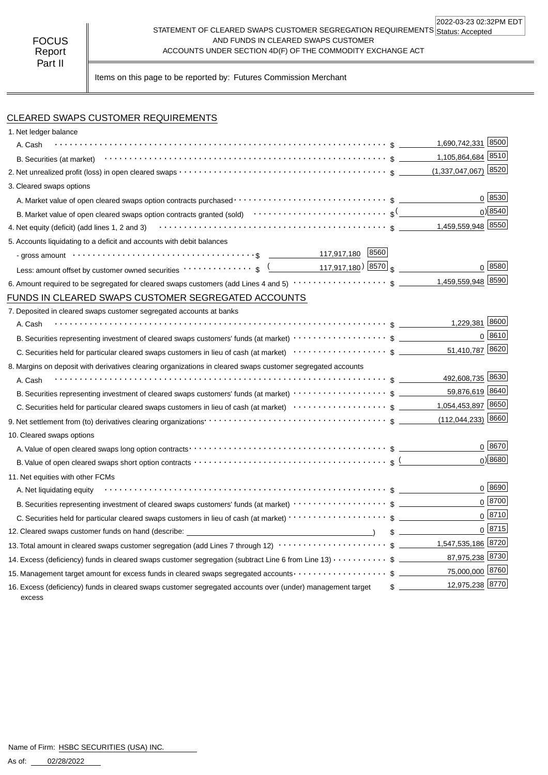#### STATEMENT OF CLEARED SWAPS CUSTOMER SEGREGATION REQUIREMENTS Status: Accepted AND FUNDS IN CLEARED SWAPS CUSTOMER ACCOUNTS UNDER SECTION 4D(F) OF THE COMMODITY EXCHANGE ACT 2022-03-23 02:32PM EDT

Items on this page to be reported by: Futures Commission Merchant

# CLEARED SWAPS CUSTOMER REQUIREMENTS

| 1. Net ledger balance                                                                                                                                                                                                                                                                                               |       |                                  |                     |
|---------------------------------------------------------------------------------------------------------------------------------------------------------------------------------------------------------------------------------------------------------------------------------------------------------------------|-------|----------------------------------|---------------------|
| A. Cash                                                                                                                                                                                                                                                                                                             |       | 1,690,742,331 8500               |                     |
|                                                                                                                                                                                                                                                                                                                     |       | 1,105,864,684 8510               |                     |
|                                                                                                                                                                                                                                                                                                                     |       | $(1,337,047,067)$ 8520           |                     |
| 3. Cleared swaps options                                                                                                                                                                                                                                                                                            |       |                                  |                     |
|                                                                                                                                                                                                                                                                                                                     |       |                                  | 0 8530              |
| B. Market value of open cleared swaps option contracts granted (sold) $\cdots\cdots\cdots\cdots\cdots\cdots\cdots\cdots$                                                                                                                                                                                            |       |                                  | $0)$ 8540           |
| 4. Net equity (deficit) (add lines 1, 2 and 3) $\cdots$ $\cdots$ $\cdots$ $\cdots$ $\cdots$ $\cdots$ $\cdots$ $\cdots$ $\cdots$ $\cdots$ $\cdots$ $\cdots$ $\cdots$ $\cdots$ $\cdots$ $\cdots$ $\cdots$ $\cdots$ $\cdots$ $\cdots$ $\cdots$ $\cdots$ $\cdots$ $\cdots$ $\cdots$ $\cdots$ $\cdots$ $\cdots$ $\cdots$ |       |                                  |                     |
| 5. Accounts liquidating to a deficit and accounts with debit balances                                                                                                                                                                                                                                               |       |                                  |                     |
| 8560<br>- gross amount $\cdots \cdots \cdots \cdots \cdots \cdots \cdots \cdots \cdots \cdots \cdots \cdots$                                                                                                                                                                                                        |       |                                  |                     |
| Less: amount offset by customer owned securities $\cdots \cdots \cdots$ ; $\frac{($ 117,917,180) $ 8570 $ \$                                                                                                                                                                                                        |       |                                  | $0^{8580}$          |
|                                                                                                                                                                                                                                                                                                                     |       |                                  |                     |
| FUNDS IN CLEARED SWAPS CUSTOMER SEGREGATED ACCOUNTS                                                                                                                                                                                                                                                                 |       |                                  |                     |
| 7. Deposited in cleared swaps customer segregated accounts at banks                                                                                                                                                                                                                                                 |       |                                  |                     |
| A. Cash                                                                                                                                                                                                                                                                                                             |       | 1,229,381 8600                   |                     |
|                                                                                                                                                                                                                                                                                                                     |       |                                  | $0^{8610}$          |
|                                                                                                                                                                                                                                                                                                                     |       | 51,410,787 8620                  |                     |
| 8. Margins on deposit with derivatives clearing organizations in cleared swaps customer segregated accounts                                                                                                                                                                                                         |       |                                  |                     |
| A. Cash                                                                                                                                                                                                                                                                                                             |       | 492,608,735 8630                 |                     |
|                                                                                                                                                                                                                                                                                                                     |       | 59,876,619 8640                  |                     |
|                                                                                                                                                                                                                                                                                                                     |       | 1,054,453,897 8650               |                     |
|                                                                                                                                                                                                                                                                                                                     |       | $(112,044,233)$ 8660             |                     |
| 10. Cleared swaps options                                                                                                                                                                                                                                                                                           |       |                                  |                     |
|                                                                                                                                                                                                                                                                                                                     |       |                                  | $0^{8670}$          |
| B. Value of open cleared swaps short option contracts $\cdots \cdots \cdots \cdots \cdots \cdots \cdots \cdots \cdots \cdots \cdots$ s (                                                                                                                                                                            |       |                                  | $0$ <sup>8680</sup> |
| 11. Net equities with other FCMs                                                                                                                                                                                                                                                                                    |       |                                  |                     |
| A. Net liquidating equity                                                                                                                                                                                                                                                                                           |       |                                  | $0^{8690}$          |
|                                                                                                                                                                                                                                                                                                                     |       |                                  | $0 \ 8700$          |
| C. Securities held for particular cleared swaps customers in lieu of cash (at market) · · · · · · · · · · · · · · · · · · \$                                                                                                                                                                                        |       |                                  | $0^{8710}$          |
| 12. Cleared swaps customer funds on hand (describe: _____________________________                                                                                                                                                                                                                                   | $s =$ |                                  | 0   8715            |
| 13. Total amount in cleared swaps customer segregation (add Lines 7 through 12) $\cdots\cdots\cdots\cdots\cdots\cdots\cdots\$ \$ _________1,547,535,186 8720                                                                                                                                                        |       |                                  |                     |
| 14. Excess (deficiency) funds in cleared swaps customer segregation (subtract Line 6 from Line 13) \$                                                                                                                                                                                                               |       | 87,975,238 8730                  |                     |
| 15. Management target amount for excess funds in cleared swaps segregated accounts $\cdots\cdots\cdots\cdots\cdots\quad$ \$                                                                                                                                                                                         |       | 75,000,000 8760                  |                     |
| 16. Excess (deficiency) funds in cleared swaps customer segregated accounts over (under) management target<br>excess                                                                                                                                                                                                |       | 12,975,238 8770<br>$\frac{1}{2}$ |                     |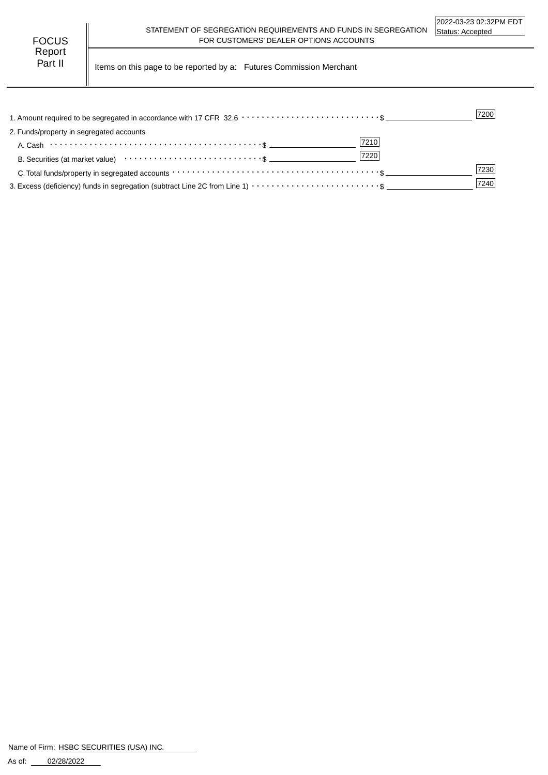Part II | Items on this page to be reported by a: Futures Commission Merchant

|                                                                                                                                      | 7200 |
|--------------------------------------------------------------------------------------------------------------------------------------|------|
| 2. Funds/property in segregated accounts                                                                                             |      |
| 7210                                                                                                                                 |      |
| 7220                                                                                                                                 |      |
| C. Total funds/property in segregated accounts $\cdots \cdots \cdots \cdots \cdots \cdots \cdots \cdots \cdots \cdots \cdots \cdots$ | 7230 |
|                                                                                                                                      | 7240 |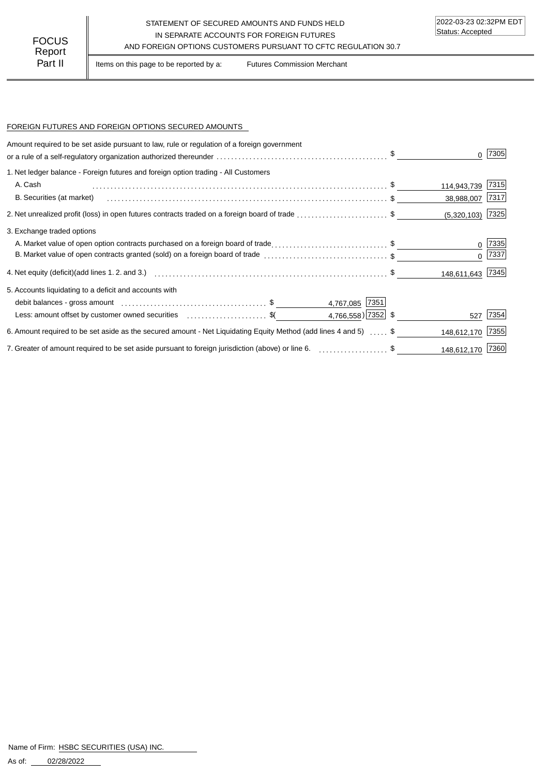### STATEMENT OF SECURED AMOUNTS AND FUNDS HELD IN SEPARATE ACCOUNTS FOR FOREIGN FUTURES FOCUS IN SEPARATE ACCOUNTS FOR FOREIGN FUTURES<br>Report

Part II | Items on this page to be reported by a: Futures Commission Merchant

#### FOREIGN FUTURES AND FOREIGN OPTIONS SECURED AMOUNTS

| Amount required to be set aside pursuant to law, rule or regulation of a foreign government                          |             | 7305               |
|----------------------------------------------------------------------------------------------------------------------|-------------|--------------------|
| 1. Net ledger balance - Foreign futures and foreign option trading - All Customers                                   |             |                    |
| A. Cash                                                                                                              | 114,943,739 | 7315               |
| B. Securities (at market)                                                                                            | 38,988,007  | 7317               |
|                                                                                                                      |             | $(5,320,103)$ 7325 |
| 3. Exchange traded options                                                                                           |             |                    |
| A. Market value of open option contracts purchased on a foreign board of trade\$                                     |             | 7335               |
| B. Market value of open contracts granted (sold) on a foreign board of trade \$                                      |             | 7337 <br>$\Omega$  |
|                                                                                                                      |             | 148,611,643 7345   |
| 5. Accounts liquidating to a deficit and accounts with                                                               |             |                    |
| 4,767,085 7351                                                                                                       |             |                    |
| 4,766,558) 7352 \$<br>Less: amount offset by customer owned securities \$(                                           |             | 7354<br>527        |
| 6. Amount required to be set aside as the secured amount - Net Liquidating Equity Method (add lines 4 and 5) with \$ | 148,612,170 | 7355               |
| 7. Greater of amount required to be set aside pursuant to foreign jurisdiction (above) or line 6. \$                 |             | 148,612,170 7360   |